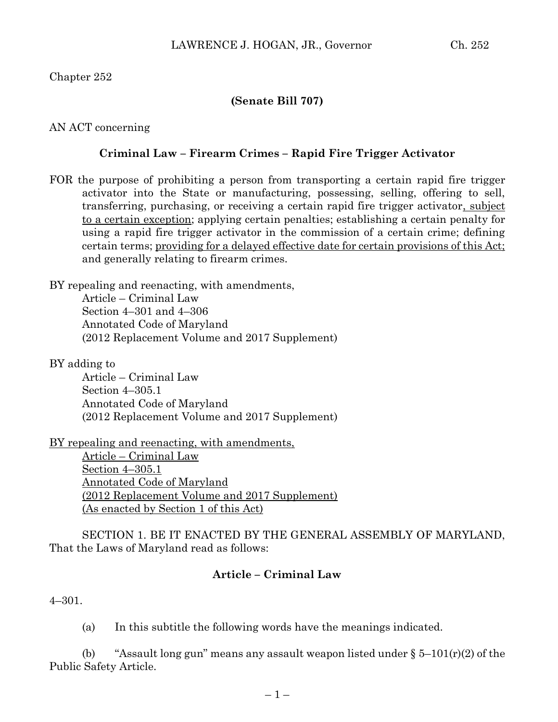Chapter 252

#### **(Senate Bill 707)**

AN ACT concerning

#### **Criminal Law – Firearm Crimes – Rapid Fire Trigger Activator**

FOR the purpose of prohibiting a person from transporting a certain rapid fire trigger activator into the State or manufacturing, possessing, selling, offering to sell, transferring, purchasing, or receiving a certain rapid fire trigger activator, subject to a certain exception; applying certain penalties; establishing a certain penalty for using a rapid fire trigger activator in the commission of a certain crime; defining certain terms; providing for a delayed effective date for certain provisions of this Act; and generally relating to firearm crimes.

BY repealing and reenacting, with amendments, Article – Criminal Law

> Section 4–301 and 4–306 Annotated Code of Maryland (2012 Replacement Volume and 2017 Supplement)

BY adding to

Article – Criminal Law Section 4–305.1 Annotated Code of Maryland (2012 Replacement Volume and 2017 Supplement)

BY repealing and reenacting, with amendments,

Article – Criminal Law Section 4–305.1 Annotated Code of Maryland (2012 Replacement Volume and 2017 Supplement) (As enacted by Section 1 of this Act)

SECTION 1. BE IT ENACTED BY THE GENERAL ASSEMBLY OF MARYLAND, That the Laws of Maryland read as follows:

#### **Article – Criminal Law**

4–301.

(a) In this subtitle the following words have the meanings indicated.

(b) "Assault long gun" means any assault weapon listed under  $\S 5-101(r)(2)$  of the Public Safety Article.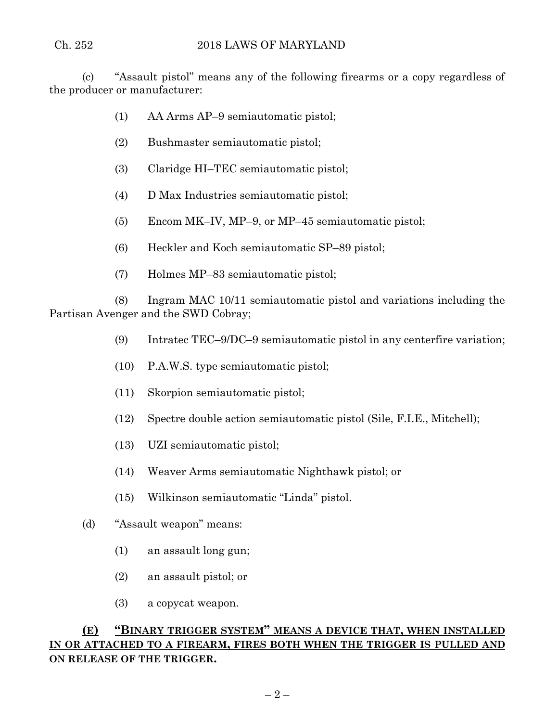(c) "Assault pistol" means any of the following firearms or a copy regardless of the producer or manufacturer:

- (1) AA Arms AP–9 semiautomatic pistol;
- (2) Bushmaster semiautomatic pistol;
- (3) Claridge HI–TEC semiautomatic pistol;
- (4) D Max Industries semiautomatic pistol;
- (5) Encom MK–IV, MP–9, or MP–45 semiautomatic pistol;
- (6) Heckler and Koch semiautomatic SP–89 pistol;
- (7) Holmes MP–83 semiautomatic pistol;

(8) Ingram MAC 10/11 semiautomatic pistol and variations including the Partisan Avenger and the SWD Cobray;

- (9) Intratec TEC–9/DC–9 semiautomatic pistol in any centerfire variation;
- (10) P.A.W.S. type semiautomatic pistol;
- (11) Skorpion semiautomatic pistol;
- (12) Spectre double action semiautomatic pistol (Sile, F.I.E., Mitchell);
- (13) UZI semiautomatic pistol;
- (14) Weaver Arms semiautomatic Nighthawk pistol; or
- (15) Wilkinson semiautomatic "Linda" pistol.
- (d) "Assault weapon" means:
	- (1) an assault long gun;
	- (2) an assault pistol; or
	- (3) a copycat weapon.

# **(E) "BINARY TRIGGER SYSTEM" MEANS A DEVICE THAT, WHEN INSTALLED IN OR ATTACHED TO A FIREARM, FIRES BOTH WHEN THE TRIGGER IS PULLED AND ON RELEASE OF THE TRIGGER.**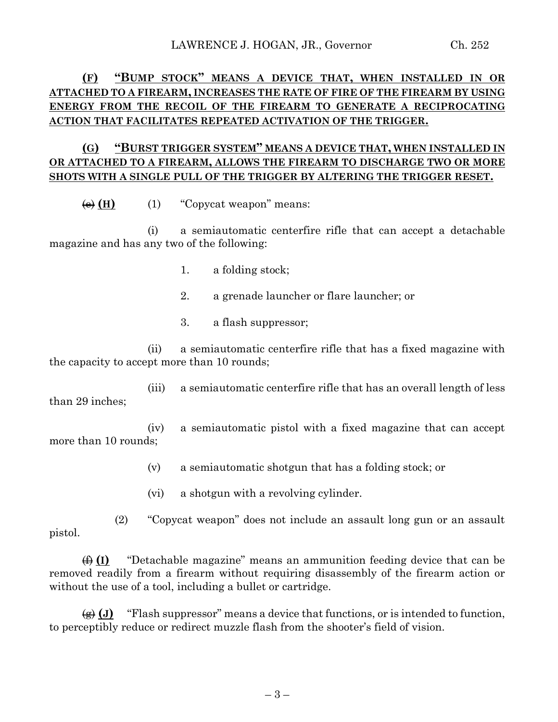# **(F) "BUMP STOCK" MEANS A DEVICE THAT, WHEN INSTALLED IN OR ATTACHED TO A FIREARM, INCREASES THE RATE OF FIRE OF THE FIREARM BY USING ENERGY FROM THE RECOIL OF THE FIREARM TO GENERATE A RECIPROCATING ACTION THAT FACILITATES REPEATED ACTIVATION OF THE TRIGGER.**

# **(G) "BURST TRIGGER SYSTEM" MEANS A DEVICE THAT, WHEN INSTALLED IN OR ATTACHED TO A FIREARM, ALLOWS THE FIREARM TO DISCHARGE TWO OR MORE SHOTS WITH A SINGLE PULL OF THE TRIGGER BY ALTERING THE TRIGGER RESET.**

 $\overline{e}(H)$  (1) "Copycat weapon" means:

(i) a semiautomatic centerfire rifle that can accept a detachable magazine and has any two of the following:

- 1. a folding stock;
- 2. a grenade launcher or flare launcher; or
- 3. a flash suppressor;

(ii) a semiautomatic centerfire rifle that has a fixed magazine with the capacity to accept more than 10 rounds;

(iii) a semiautomatic centerfire rifle that has an overall length of less than 29 inches;

(iv) a semiautomatic pistol with a fixed magazine that can accept more than 10 rounds;

- (v) a semiautomatic shotgun that has a folding stock; or
- (vi) a shotgun with a revolving cylinder.

(2) "Copycat weapon" does not include an assault long gun or an assault pistol.

(f) **(I)** "Detachable magazine" means an ammunition feeding device that can be removed readily from a firearm without requiring disassembly of the firearm action or without the use of a tool, including a bullet or cartridge.

 $\left(\frac{f}{f}\right)$  (J) "Flash suppressor" means a device that functions, or is intended to function, to perceptibly reduce or redirect muzzle flash from the shooter's field of vision.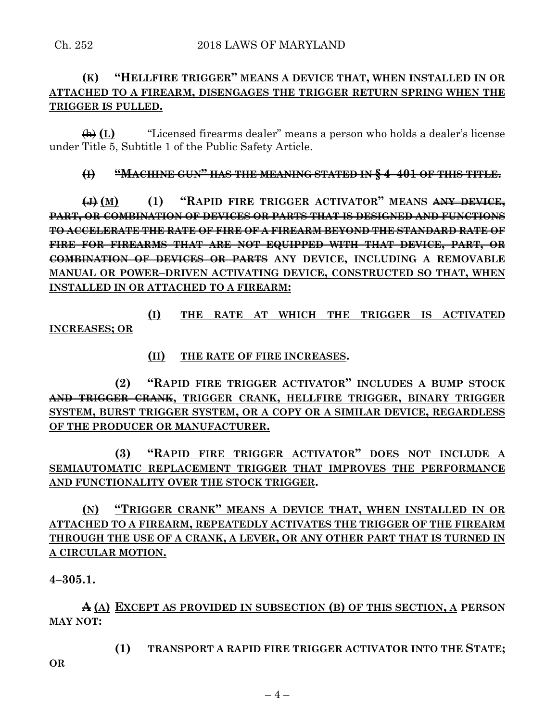## **(K) "HELLFIRE TRIGGER" MEANS A DEVICE THAT, WHEN INSTALLED IN OR ATTACHED TO A FIREARM, DISENGAGES THE TRIGGER RETURN SPRING WHEN THE TRIGGER IS PULLED.**

(h) **(L)** "Licensed firearms dealer" means a person who holds a dealer's license under Title 5, Subtitle 1 of the Public Safety Article.

## **(I) "MACHINE GUN" HAS THE MEANING STATED IN § 4–401 OF THIS TITLE.**

**(J) (M) (1) "RAPID FIRE TRIGGER ACTIVATOR" MEANS ANY DEVICE, PART, OR COMBINATION OF DEVICES OR PARTS THAT IS DESIGNED AND FUNCTIONS TO ACCELERATE THE RATE OF FIRE OF A FIREARM BEYOND THE STANDARD RATE OF FIRE FOR FIREARMS THAT ARE NOT EQUIPPED WITH THAT DEVICE, PART, OR COMBINATION OF DEVICES OR PARTS ANY DEVICE, INCLUDING A REMOVABLE MANUAL OR POWER–DRIVEN ACTIVATING DEVICE, CONSTRUCTED SO THAT, WHEN INSTALLED IN OR ATTACHED TO A FIREARM:**

**(I) THE RATE AT WHICH THE TRIGGER IS ACTIVATED INCREASES; OR**

**(II) THE RATE OF FIRE INCREASES.**

**(2) "RAPID FIRE TRIGGER ACTIVATOR" INCLUDES A BUMP STOCK AND TRIGGER CRANK, TRIGGER CRANK, HELLFIRE TRIGGER, BINARY TRIGGER SYSTEM, BURST TRIGGER SYSTEM, OR A COPY OR A SIMILAR DEVICE, REGARDLESS OF THE PRODUCER OR MANUFACTURER.**

**(3) "RAPID FIRE TRIGGER ACTIVATOR" DOES NOT INCLUDE A SEMIAUTOMATIC REPLACEMENT TRIGGER THAT IMPROVES THE PERFORMANCE AND FUNCTIONALITY OVER THE STOCK TRIGGER.**

**(N) "TRIGGER CRANK" MEANS A DEVICE THAT, WHEN INSTALLED IN OR ATTACHED TO A FIREARM, REPEATEDLY ACTIVATES THE TRIGGER OF THE FIREARM THROUGH THE USE OF A CRANK, A LEVER, OR ANY OTHER PART THAT IS TURNED IN A CIRCULAR MOTION.**

**4–305.1.**

**A (A) EXCEPT AS PROVIDED IN SUBSECTION (B) OF THIS SECTION, A PERSON MAY NOT:**

**(1) TRANSPORT A RAPID FIRE TRIGGER ACTIVATOR INTO THE STATE;**

**OR**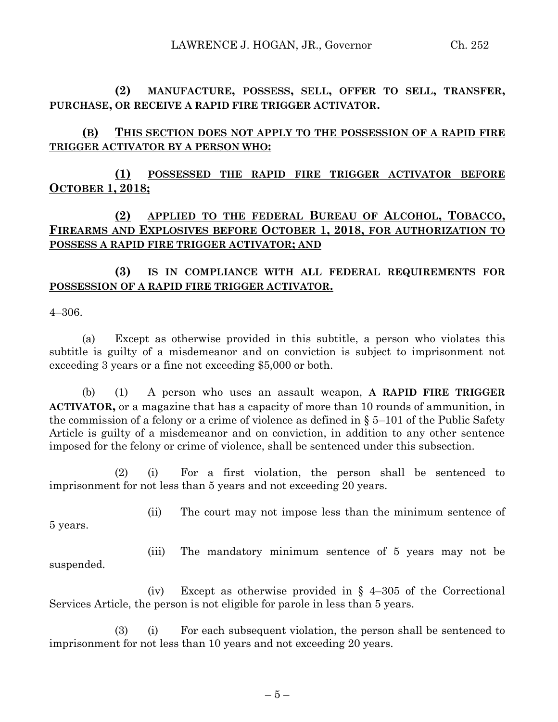**(2) MANUFACTURE, POSSESS, SELL, OFFER TO SELL, TRANSFER, PURCHASE, OR RECEIVE A RAPID FIRE TRIGGER ACTIVATOR.**

**(B) THIS SECTION DOES NOT APPLY TO THE POSSESSION OF A RAPID FIRE TRIGGER ACTIVATOR BY A PERSON WHO:**

**(1) POSSESSED THE RAPID FIRE TRIGGER ACTIVATOR BEFORE OCTOBER 1, 2018;**

# **(2) APPLIED TO THE FEDERAL BUREAU OF ALCOHOL, TOBACCO, FIREARMS AND EXPLOSIVES BEFORE OCTOBER 1, 2018, FOR AUTHORIZATION TO POSSESS A RAPID FIRE TRIGGER ACTIVATOR; AND**

## **(3) IS IN COMPLIANCE WITH ALL FEDERAL REQUIREMENTS FOR POSSESSION OF A RAPID FIRE TRIGGER ACTIVATOR.**

4–306.

(a) Except as otherwise provided in this subtitle, a person who violates this subtitle is guilty of a misdemeanor and on conviction is subject to imprisonment not exceeding 3 years or a fine not exceeding \$5,000 or both.

(b) (1) A person who uses an assault weapon, **A RAPID FIRE TRIGGER ACTIVATOR,** or a magazine that has a capacity of more than 10 rounds of ammunition, in the commission of a felony or a crime of violence as defined in § 5–101 of the Public Safety Article is guilty of a misdemeanor and on conviction, in addition to any other sentence imposed for the felony or crime of violence, shall be sentenced under this subsection.

(2) (i) For a first violation, the person shall be sentenced to imprisonment for not less than 5 years and not exceeding 20 years.

5 years.

(ii) The court may not impose less than the minimum sentence of

(iii) The mandatory minimum sentence of 5 years may not be suspended.

(iv) Except as otherwise provided in § 4–305 of the Correctional Services Article, the person is not eligible for parole in less than 5 years.

(3) (i) For each subsequent violation, the person shall be sentenced to imprisonment for not less than 10 years and not exceeding 20 years.